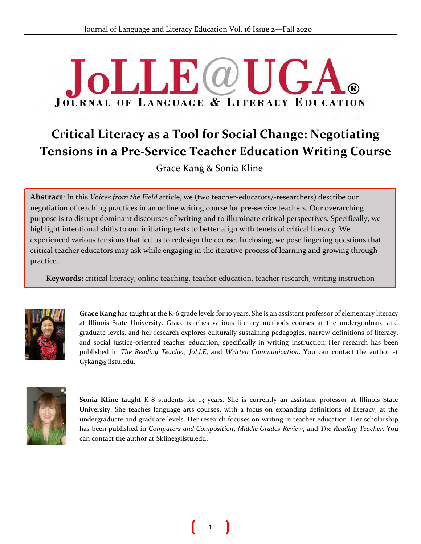# $\bf LFL(\omega T)$ **JOURNAL OF LANGUAGE & LITERACY EDUCATION**

# **Critical Literacy as a Tool for Social Change: Negotiating Tensions in a Pre-Service Teacher Education Writing Course**

Grace Kang & Sonia Kline

**Abstract**: In this *Voices from the Field* article, we (two teacher-educators/-researchers) describe our negotiation of teaching practices in an online writing course for pre-service teachers. Our overarching<br>numese is to disrupt dominant discourses of uniting and to illuminate spitical perspectives. Specifically purpose is to disrupt dominant discourses of writing and to illuminate critical perspectives. Specifically, we highlight intentional shifts to our initiating texts to better align with tenets of critical literacy. We experienced various tensions that led us to redesign the course. In closing, we pose lingering questions that critical teacher educators may ask while engaging in the iterative process of learning and growing through practice.

**Keywords:** critical literacy, online teaching, teacher education, teacher research, writing instruction



**Grace Kang** has taught at the K-6 grade levels for 10 years. She is an assistant professor of elementary literacy at Illinois State University. Grace teaches various literacy methods courses at the undergraduate and graduate levels, and her research explores culturally sustaining pedagogies, narrow definitions of literacy, and social justice-oriented teacher education, specifically in writing instruction. Her research has been published in *The Reading Teacher, JoLLE*, and *Written Communication*. You can contact the author at Gykang@ilstu.edu.



**Sonia Kline** taught K-8 students for 13 years. She is currently an assistant professor at Illinois State University. She teaches language arts courses, with a focus on expanding definitions of literacy, at the undergraduate and graduate levels. Her research focuses on writing in teacher education. Her scholarship has been published in *Computers and Composition*, *Middle Grades Review*, and *The Reading Teacher*. You can contact the author at Skline@ilstu.edu.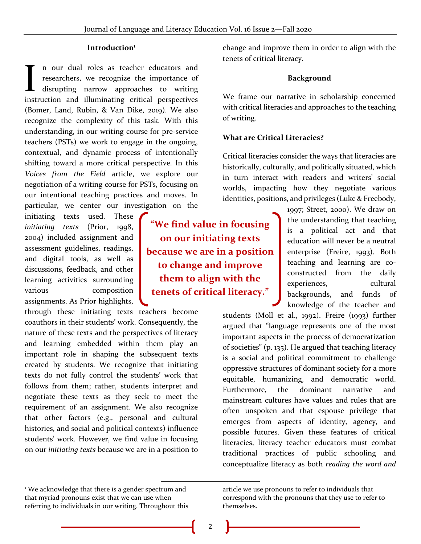#### **Introduction<sup>1</sup>**

n our dual roles as teacher educators and researchers, we recognize the importance of disrupting narrow approaches to writing In our dual roles as teacher educators and researchers, we recognize the importance of disrupting narrow approaches to writing instruction and illuminating critical perspectives (Bomer, Land, Rubin, & Van Dike, 2019). We also recognize the complexity of this task. With this understanding, in our writing course for pre-service teachers (PSTs) we work to engage in the ongoing, contextual, and dynamic process of intentionally shifting toward a more critical perspective. In this *Voices from the Field* article, we explore our negotiation of a writing course for PSTs, focusing on our intentional teaching practices and moves. In particular, we center our investigation on the

initiating texts used. These *initiating texts* (Prior, 1998, 2004) included assignment and assessment guidelines, readings, and digital tools, as well as discussions, feedback, and other learning activities surrounding various composition assignments. As Prior highlights,

through these initiating texts teachers become coauthors in their students' work. Consequently, the nature of these texts and the perspectives of literacy and learning embedded within them play an important role in shaping the subsequent texts created by students. We recognize that initiating texts do not fully control the students' work that follows from them; rather, students interpret and negotiate these texts as they seek to meet the requirement of an assignment. We also recognize that other factors (e.g., personal and cultural histories, and social and political contexts) influence students' work. However, we find value in focusing on our *initiating texts* because we are in a position to

<sup>1</sup> We acknowledge that there is a gender spectrum and that myriad pronouns exist that we can use when referring to individuals in our writing. Throughout this

**"We find value in focusing on our initiating texts because we are in a position to change and improve them to align with the tenets of critical literacy."**

change and improve them in order to align with the tenets of critical literacy.

#### **Background**

We frame our narrative in scholarship concerned with critical literacies and approaches to the teaching of writing.

#### **What are Critical Literacies?**

Critical literacies consider the ways that literacies are historically, culturally, and politically situated, which in turn interact with readers and writers' social worlds, impacting how they negotiate various identities, positions, and privileges (Luke & Freebody,

> 1997; Street, 2000). We draw on the understanding that teaching is a political act and that education will never be a neutral enterprise (Freire, 1993). Both teaching and learning are coconstructed from the daily experiences, cultural backgrounds, and funds of knowledge of the teacher and

students (Moll et al., 1992). Freire (1993) further argued that "language represents one of the most important aspects in the process of democratization of societies" (p. 135). He argued that teaching literacy is a social and political commitment to challenge oppressive structures of dominant society for a more equitable, humanizing, and democratic world. Furthermore, the dominant narrative and mainstream cultures have values and rules that are often unspoken and that espouse privilege that emerges from aspects of identity, agency, and possible futures. Given these features of critical literacies, literacy teacher educators must combat traditional practices of public schooling and conceptualize literacy as both *reading the word and* 

article we use pronouns to refer to individuals that correspond with the pronouns that they use to refer to themselves.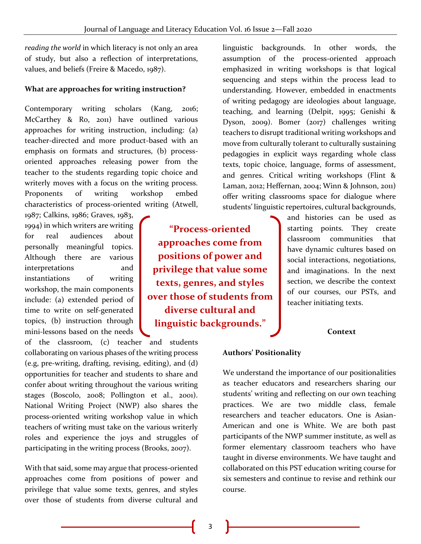*reading the world* in which literacy is not only an area of study, but also a reflection of interpretations, values, and beliefs (Freire & Macedo, 1987).

#### **What are approaches for writing instruction?**

Contemporary writing scholars (Kang, 2016; McCarthey & Ro, 2011) have outlined various approaches for writing instruction, including: (a) teacher-directed and more product-based with an emphasis on formats and structures, (b) processoriented approaches releasing power from the teacher to the students regarding topic choice and writerly moves with a focus on the writing process. Proponents of writing workshop embed characteristics of process-oriented writing (Atwell,

1987; Calkins, 1986; Graves, 1983, 1994) in which writers are writing for real audiences about personally meaningful topics. Although there are various interpretations and instantiations of writing workshop, the main components include: (a) extended period of time to write on self-generated topics, (b) instruction through mini-lessons based on the needs

of the classroom, (c) teacher and students collaborating on various phases of the writing process (e.g, pre-writing, drafting, revising, editing), and (d) opportunities for teacher and students to share and confer about writing throughout the various writing stages (Boscolo, 2008; Pollington et al., 2001). National Writing Project (NWP) also shares the process-oriented writing workshop value in which teachers of writing must take on the various writerly roles and experience the joys and struggles of participating in the writing process (Brooks, 2007).

With that said, some may argue that process-oriented approaches come from positions of power and privilege that value some texts, genres, and styles over those of students from diverse cultural and

**"Process-oriented approaches come from positions of power and privilege that value some texts, genres, and styles over those of students from diverse cultural and linguistic backgrounds."**

linguistic backgrounds. In other words, the assumption of the process-oriented approach emphasized in writing workshops is that logical sequencing and steps within the process lead to understanding. However, embedded in enactments of writing pedagogy are ideologies about language, teaching, and learning (Delpit, 1995; Genishi & Dyson, 2009). Bomer (2017) challenges writing teachers to disrupt traditional writing workshops and move from culturally tolerant to culturally sustaining pedagogies in explicit ways regarding whole class texts, topic choice, language, forms of assessment, and genres. Critical writing workshops (Flint & Laman, 2012; Heffernan, 2004; Winn & Johnson, 2011) offer writing classrooms space for dialogue where students' linguistic repertoires, cultural backgrounds,

> and histories can be used as starting points. They create classroom communities that have dynamic cultures based on social interactions, negotiations, and imaginations. In the next section, we describe the context of our courses, our PSTs, and teacher initiating texts.

#### **Context**

#### **Authors' Positionality**

We understand the importance of our positionalities as teacher educators and researchers sharing our students' writing and reflecting on our own teaching practices. We are two middle class, female researchers and teacher educators. One is Asian-American and one is White. We are both past participants of the NWP summer institute, as well as former elementary classroom teachers who have taught in diverse environments. We have taught and collaborated on this PST education writing course for six semesters and continue to revise and rethink our course.

3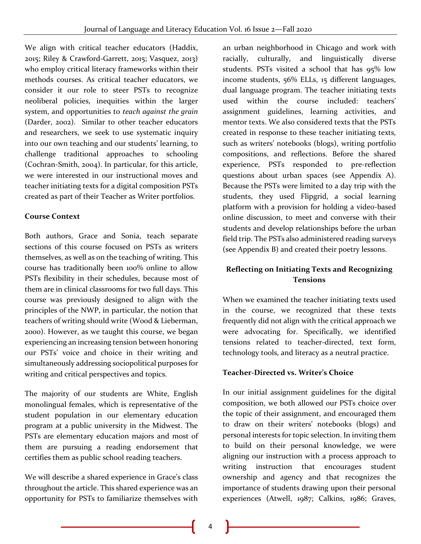We align with critical teacher educators (Haddix, 2015; Riley & Crawford-Garrett, 2015; Vasquez, 2013) who employ critical literacy frameworks within their methods courses. As critical teacher educators, we consider it our role to steer PSTs to recognize neoliberal policies, inequities within the larger system, and opportunities to *teach against the grain* (Darder, 2002). Similar to other teacher educators and researchers, we seek to use systematic inquiry into our own teaching and our students' learning, to challenge traditional approaches to schooling (Cochran-Smith, 2004). In particular, for this article, we were interested in our instructional moves and teacher initiating texts for a digital composition PSTs created as part of their Teacher as Writer portfolios.

#### **Course Context**

Both authors, Grace and Sonia, teach separate sections of this course focused on PSTs as writers themselves, as well as on the teaching of writing. This course has traditionally been 100% online to allow PSTs flexibility in their schedules, because most of them are in clinical classrooms for two full days. This course was previously designed to align with the principles of the NWP, in particular, the notion that teachers of writing should write (Wood & Lieberman, 2000). However, as we taught this course, we began experiencing an increasing tension between honoring our PSTs' voice and choice in their writing and simultaneously addressing sociopolitical purposes for writing and critical perspectives and topics.

The majority of our students are White, English monolingual females, which is representative of the student population in our elementary education program at a public university in the Midwest. The PSTs are elementary education majors and most of them are pursuing a reading endorsement that certifies them as public school reading teachers.

We will describe a shared experience in Grace's class throughout the article. This shared experience was an opportunity for PSTs to familiarize themselves with

an urban neighborhood in Chicago and work with racially, culturally, and linguistically diverse students. PSTs visited a school that has 95% low income students, 56% ELLs, 15 different languages, dual language program. The teacher initiating texts used within the course included: teachers' assignment guidelines, learning activities, and mentor texts. We also considered texts that the PSTs created in response to these teacher initiating texts, such as writers' notebooks (blogs), writing portfolio compositions, and reflections. Before the shared experience, PSTs responded to pre-reflection questions about urban spaces (see Appendix A). Because the PSTs were limited to a day trip with the students, they used Flipgrid, a social learning platform with a provision for holding a video-based online discussion, to meet and converse with their students and develop relationships before the urban field trip. The PSTs also administered reading surveys (see Appendix B) and created their poetry lessons.

# **Reflecting on Initiating Texts and Recognizing Tensions**

When we examined the teacher initiating texts used in the course, we recognized that these texts frequently did not align with the critical approach we were advocating for. Specifically, we identified tensions related to teacher-directed, text form, technology tools, and literacy as a neutral practice.

# **Teacher-Directed vs. Writer's Choice**

In our initial assignment guidelines for the digital composition, we both allowed our PSTs choice over the topic of their assignment, and encouraged them to draw on their writers' notebooks (blogs) and personal interests for topic selection. In inviting them to build on their personal knowledge, we were aligning our instruction with a process approach to writing instruction that encourages student ownership and agency and that recognizes the importance of students drawing upon their personal experiences (Atwell, 1987; Calkins, 1986; Graves,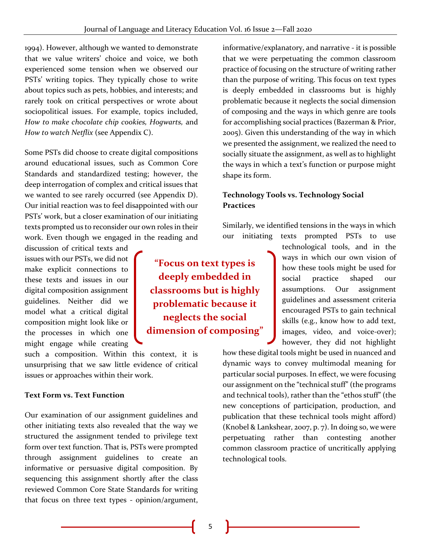1994). However, although we wanted to demonstrate that we value writers' choice and voice, we both experienced some tension when we observed our PSTs' writing topics. They typically chose to write about topics such as pets, hobbies, and interests; and rarely took on critical perspectives or wrote about sociopolitical issues. For example, topics included, *How to make chocolate chip cookies, Hogwarts,* and *How to watch Netflix* (see Appendix C).

Some PSTs did choose to create digital compositions around educational issues, such as Common Core Standards and standardized testing; however, the deep interrogation of complex and critical issues that we wanted to see rarely occurred (see Appendix D). Our initial reaction was to feel disappointed with our PSTs' work, but a closer examination of our initiating texts prompted us to reconsider our own roles in their work. Even though we engaged in the reading and

discussion of critical texts and issues with our PSTs, we did not make explicit connections to these texts and issues in our digital composition assignment guidelines. Neither did we model what a critical digital composition might look like or the processes in which one might engage while creating

such a composition. Within this context, it is unsurprising that we saw little evidence of critical issues or approaches within their work.

#### **Text Form vs. Text Function**

Our examination of our assignment guidelines and other initiating texts also revealed that the way we structured the assignment tended to privilege text form over text function. That is, PSTs were prompted through assignment guidelines to create an informative or persuasive digital composition. By sequencing this assignment shortly after the class reviewed Common Core State Standards for writing that focus on three text types - opinion/argument,

informative/explanatory, and narrative - it is possible that we were perpetuating the common classroom practice of focusing on the structure of writing rather than the purpose of writing. This focus on text types is deeply embedded in classrooms but is highly problematic because it neglects the social dimension of composing and the ways in which genre are tools for accomplishing social practices (Bazerman & Prior, 2005). Given this understanding of the way in which we presented the assignment, we realized the need to socially situate the assignment, as well as to highlight the ways in which a text's function or purpose might shape its form.

# **Technology Tools vs. Technology Social Practices**

Similarly, we identified tensions in the ways in which our initiating texts prompted PSTs to use

> technological tools, and in the ways in which our own vision of how these tools might be used for social practice shaped our assumptions. Our assignment guidelines and assessment criteria encouraged PSTs to gain technical skills (e.g., know how to add text, images, video, and voice-over); however, they did not highlight

how these digital tools might be used in nuanced and dynamic ways to convey multimodal meaning for particular social purposes. In effect, we were focusing our assignment on the "technical stuff" (the programs and technical tools), rather than the "ethos stuff" (the new conceptions of participation, production, and publication that these technical tools might afford) (Knobel & Lankshear, 2007, p. 7). In doing so, we were perpetuating rather than contesting another common classroom practice of uncritically applying technological tools.

**"Focus on text types is deeply embedded in classrooms but is highly problematic because it neglects the social dimension of composing"**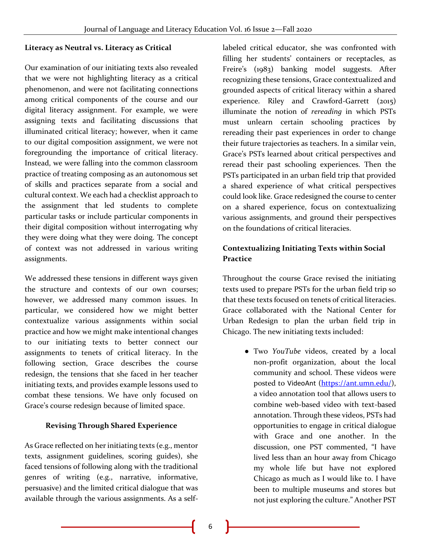#### **Literacy as Neutral vs. Literacy as Critical**

Our examination of our initiating texts also revealed that we were not highlighting literacy as a critical phenomenon, and were not facilitating connections among critical components of the course and our digital literacy assignment. For example, we were assigning texts and facilitating discussions that illuminated critical literacy; however, when it came to our digital composition assignment, we were not foregrounding the importance of critical literacy. Instead, we were falling into the common classroom practice of treating composing as an autonomous set of skills and practices separate from a social and cultural context. We each had a checklist approach to the assignment that led students to complete particular tasks or include particular components in their digital composition without interrogating why they were doing what they were doing. The concept of context was not addressed in various writing assignments.

We addressed these tensions in different ways given the structure and contexts of our own courses; however, we addressed many common issues. In particular, we considered how we might better contextualize various assignments within social practice and how we might make intentional changes to our initiating texts to better connect our assignments to tenets of critical literacy. In the following section, Grace describes the course redesign, the tensions that she faced in her teacher initiating texts, and provides example lessons used to combat these tensions. We have only focused on Grace's course redesign because of limited space.

#### **Revising Through Shared Experience**

As Grace reflected on her initiating texts (e.g., mentor texts, assignment guidelines, scoring guides), she faced tensions of following along with the traditional genres of writing (e.g., narrative, informative, persuasive) and the limited critical dialogue that was available through the various assignments. As a selflabeled critical educator, she was confronted with filling her students' containers or receptacles, as Freire's (1983) banking model suggests. After recognizing these tensions, Grace contextualized and grounded aspects of critical literacy within a shared experience. Riley and Crawford-Garrett (2015) illuminate the notion of *rereading* in which PSTs must unlearn certain schooling practices by rereading their past experiences in order to change their future trajectories as teachers. In a similar vein, Grace's PSTs learned about critical perspectives and reread their past schooling experiences. Then the PSTs participated in an urban field trip that provided a shared experience of what critical perspectives could look like. Grace redesigned the course to center on a shared experience, focus on contextualizing various assignments, and ground their perspectives on the foundations of critical literacies.

# **Contextualizing Initiating Texts within Social Practice**

Throughout the course Grace revised the initiating texts used to prepare PSTs for the urban field trip so that these texts focused on tenets of critical literacies. Grace collaborated with the National Center for Urban Redesign to plan the urban field trip in Chicago. The new initiating texts included:

> ● Two *YouTube* videos, created by a local non-profit organization, about the local community and school. These videos were posted to VideoAnt [\(https://ant.umn.edu/\)](https://ant.umn.edu/), a video annotation tool that allows users to combine web-based video with text-based annotation. Through these videos, PSTs had opportunities to engage in critical dialogue with Grace and one another. In the discussion, one PST commented, "I have lived less than an hour away from Chicago my whole life but have not explored Chicago as much as I would like to. I have been to multiple museums and stores but not just exploring the culture." Another PST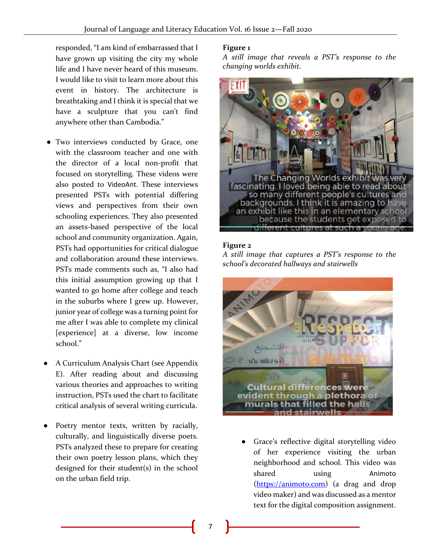responded, "I am kind of embarrassed that I have grown up visiting the city my whole life and I have never heard of this museum. I would like to visit to learn more about this event in history. The architecture is breathtaking and I think it is special that we have a sculpture that you can't find anywhere other than Cambodia."

- Two interviews conducted by Grace, one with the classroom teacher and one with the director of a local non-profit that focused on storytelling. These videos were also posted to VideoAnt. These interviews presented PSTs with potential differing views and perspectives from their own schooling experiences. They also presented an assets-based perspective of the local school and community organization. Again, PSTs had opportunities for critical dialogue and collaboration around these interviews. PSTs made comments such as, "I also had this initial assumption growing up that I wanted to go home after college and teach in the suburbs where I grew up. However, junior year of college was a turning point for me after I was able to complete my clinical [experience] at a diverse, low income school."
- A Curriculum Analysis Chart (see Appendix E). After reading about and discussing various theories and approaches to writing instruction, PSTs used the chart to facilitate critical analysis of several writing curricula.
- Poetry mentor texts, written by racially, culturally, and linguistically diverse poets. PSTs analyzed these to prepare for creating their own poetry lesson plans, which they designed for their student(s) in the school on the urban field trip.

#### **Figure 1**

*A still image that reveals a PST's response to the changing worlds exhibit.*



#### **Figure 2**

*A still image that captures a PST's response to the school's decorated hallways and stairwells*



● Grace's reflective digital storytelling video of her experience visiting the urban neighborhood and school. This video was shared using Animoto [\(https://animoto.com\)](https://animoto.com/) (a drag and drop video maker) and was discussed as a mentor text for the digital composition assignment.

7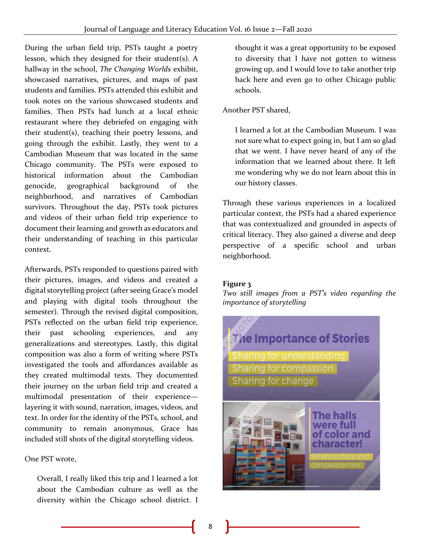During the urban field trip, PSTs taught a poetry lesson, which they designed for their student(s). A hallway in the school, *The Changing Worlds* exhibit, showcased narratives, pictures, and maps of past students and families. PSTs attended this exhibit and took notes on the various showcased students and families. Then PSTs had lunch at a local ethnic restaurant where they debriefed on engaging with their student(s), teaching their poetry lessons, and going through the exhibit. Lastly, they went to a Cambodian Museum that was located in the same Chicago community. The PSTs were exposed to historical information about the Cambodian genocide, geographical background of the neighborhood, and narratives of Cambodian survivors. Throughout the day, PSTs took pictures and videos of their urban field trip experience to document their learning and growth as educators and their understanding of teaching in this particular context.

Afterwards, PSTs responded to questions paired with their pictures, images, and videos and created a digital storytelling project (after seeing Grace's model and playing with digital tools throughout the semester). Through the revised digital composition, PSTs reflected on the urban field trip experience, their past schooling experiences, and any generalizations and stereotypes. Lastly, this digital composition was also a form of writing where PSTs investigated the tools and affordances available as they created multimodal texts. They documented their journey on the urban field trip and created a multimodal presentation of their experience layering it with sound, narration, images, videos, and text. In order for the identity of the PSTs, school, and community to remain anonymous, Grace has included still shots of the digital storytelling videos.

One PST wrote,

Overall, I really liked this trip and I learned a lot about the Cambodian culture as well as the diversity within the Chicago school district. I

thought it was a great opportunity to be exposed to diversity that I have not gotten to witness growing up, and I would love to take another trip back here and even go to other Chicago public schools.

Another PST shared,

I learned a lot at the Cambodian Museum. I was not sure what to expect going in, but I am so glad that we went. I have never heard of any of the information that we learned about there. It left me wondering why we do not learn about this in our history classes.

Through these various experiences in a localized particular context, the PSTs had a shared experience that was contextualized and grounded in aspects of critical literacy. They also gained a diverse and deep perspective of a specific school and urban neighborhood.

# **Figure 3**

*Two still images from a PST's video regarding the importance of storytelling*

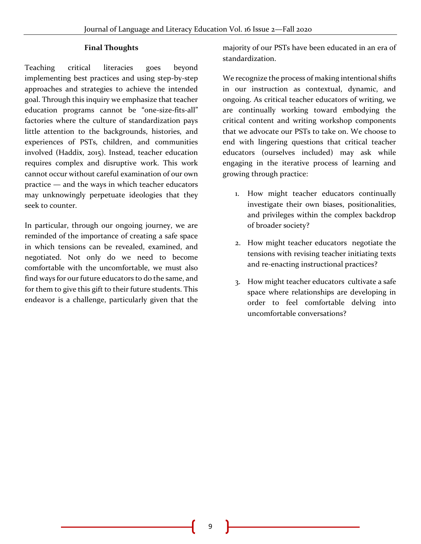#### **Final Thoughts**

Teaching critical literacies goes beyond implementing best practices and using step-by-step approaches and strategies to achieve the intended goal. Through this inquiry we emphasize that teacher education programs cannot be "one-size-fits-all" factories where the culture of standardization pays little attention to the backgrounds, histories, and experiences of PSTs, children, and communities involved (Haddix, 2015). Instead, teacher education requires complex and disruptive work. This work cannot occur without careful examination of our own practice — and the ways in which teacher educators may unknowingly perpetuate ideologies that they seek to counter.

In particular, through our ongoing journey, we are reminded of the importance of creating a safe space in which tensions can be revealed, examined, and negotiated. Not only do we need to become comfortable with the uncomfortable, we must also find ways for our future educators to do the same, and for them to give this gift to their future students. This endeavor is a challenge, particularly given that the

majority of our PSTs have been educated in an era of standardization.

We recognize the process of making intentional shifts in our instruction as contextual, dynamic, and ongoing. As critical teacher educators of writing, we are continually working toward embodying the critical content and writing workshop components that we advocate our PSTs to take on. We choose to end with lingering questions that critical teacher educators (ourselves included) may ask while engaging in the iterative process of learning and growing through practice:

- 1. How might teacher educators continually investigate their own biases, positionalities, and privileges within the complex backdrop of broader society?
- 2. How might teacher educators negotiate the tensions with revising teacher initiating texts and re-enacting instructional practices?
- 3. How might teacher educators cultivate a safe space where relationships are developing in order to feel comfortable delving into uncomfortable conversations?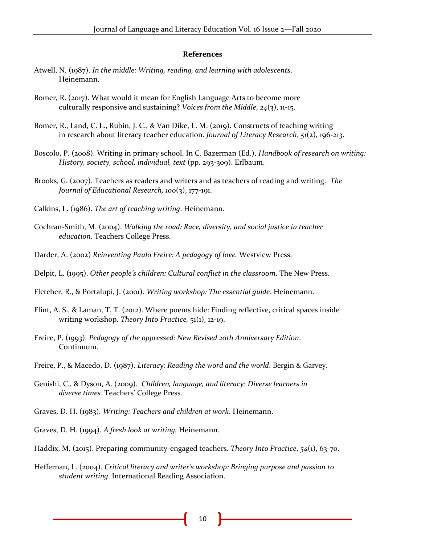#### **References**

- Atwell, N. (1987). *In the middle: Writing, reading, and learning with adolescents*. Heinemann.
- Bomer, R. (2017). What would it mean for English Language Arts to become more culturally responsive and sustaining? *Voices from the Middle*, *24*(3), 11-15.
- Bomer, R., Land, C. L., Rubin, J. C., & Van Dike, L. M. (2019). Constructs of teaching writing in research about literacy teacher education. *Journal of Literacy Research*, *51*(2), 196-213.
- Boscolo, P. (2008). Writing in primary school. In C. Bazerman (Ed.), *Handbook of research on writing: History, society, school, individual, text* (pp. 293-309). Erlbaum.
- Brooks, G. (2007). Teachers as readers and writers and as teachers of reading and writing. *The Journal of Educational Research, 100*(3), 177-191.
- Calkins, L. (1986). *The art of teaching writing*. Heinemann.
- Cochran-Smith, M. (2004). *Walking the road: Race, diversity, and social justice in teacher education*. Teachers College Press.
- Darder, A. (2002) *Reinventing Paulo Freire: A pedagogy of love.* Westview Press.
- Delpit, L. (1995). *Other people's children: Cultural conflict in the classroom*. The New Press.
- Fletcher, R., & Portalupi, J. (2001). *Writing workshop: The essential guide*. Heinemann.
- Flint, A. S., & Laman, T. T. (2012). Where poems hide: Finding reflective, critical spaces inside writing workshop. *Theory Into Practice,* 51(1), 12-19.
- Freire, P. (1993). *Pedagogy of the oppressed: New Revised 20th Anniversary Edition*. Continuum.
- Freire, P., & Macedo, D. (1987). *Literacy: Reading the word and the world*. Bergin & Garvey.
- Genishi, C., & Dyson, A. (2009). *Children, language, and literacy*: *Diverse learners in diverse times.* Teachers' College Press.
- Graves, D. H. (1983). *Writing: Teachers and children at work*. Heinemann.
- Graves, D. H. (1994). *A fresh look at writing.* Heinemann.
- Haddix, M. (2015). Preparing community-engaged teachers. *Theory Into Practice*, *54*(1), 63-70.
- Heffernan, L. (2004). *Critical literacy and writer's workshop: Bringing purpose and passion to student writing*. International Reading Association.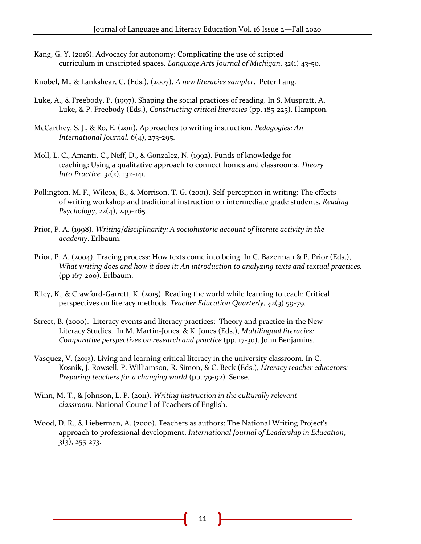Kang, G. Y. (2016). Advocacy for autonomy: Complicating the use of scripted curriculum in unscripted spaces. *Language Arts Journal of Michigan*, *32*(1) 43-50.

Knobel, M., & Lankshear, C. (Eds.). (2007). *A new literacies sampler*. Peter Lang.

- Luke, A., & Freebody, P. (1997). Shaping the social practices of reading. In S. Muspratt, A. Luke, & P. Freebody (Eds.), *Constructing critical literacies* (pp. 185-225). Hampton.
- McCarthey, S. J., & Ro, E. (2011). Approaches to writing instruction. *Pedagogies: An International Journal, 6*(4), 273-295.
- Moll, L. C., Amanti, C., Neff, D., & Gonzalez, N. (1992). Funds of knowledge for teaching: Using a qualitative approach to connect homes and classrooms. *Theory Into Practice, 31*(2), 132-141.
- Pollington, M. F., Wilcox, B., & Morrison, T. G. (2001). Self-perception in writing: The effects of writing workshop and traditional instruction on intermediate grade students. *Reading Psychology*, *22*(4), 249-265.
- Prior, P. A. (1998). *Writing/disciplinarity: A sociohistoric account of literate activity in the academy*. Erlbaum.
- Prior, P. A. (2004). Tracing process: How texts come into being. In C. Bazerman & P. Prior (Eds.), *What writing does and how it does it: An introduction to analyzing texts and textual practices.*  (pp 167-200). Erlbaum.
- Riley, K., & Crawford-Garrett, K. (2015). Reading the world while learning to teach: Critical perspectives on literacy methods. *Teacher Education Quarterly*, *42*(3) 59-79.
- Street, B. (2000). Literacy events and literacy practices: Theory and practice in the New Literacy Studies. In M. Martin-Jones, & K. Jones (Eds.), *Multilingual literacies: Comparative perspectives on research and practice (pp. 17-30). John Benjamins.*
- Vasquez, V. (2013). Living and learning critical literacy in the university classroom. In C. Kosnik, J. Rowsell, P. Williamson, R. Simon, & C. Beck (Eds.), *Literacy teacher educators: Preparing teachers for a changing world* (pp. 79-92). Sense.
- Winn, M. T., & Johnson, L. P. (2011). *Writing instruction in the culturally relevant classroom*. National Council of Teachers of English.
- Wood, D. R., & Lieberman, A. (2000). Teachers as authors: The National Writing Project's approach to professional development. *International Journal of Leadership in Education*, *3*(3), 255-273.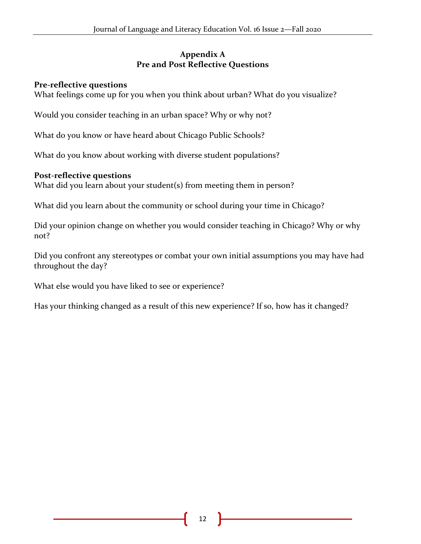# **Appendix A Pre and Post Reflective Questions**

# **Pre-reflective questions**

What feelings come up for you when you think about urban? What do you visualize?

Would you consider teaching in an urban space? Why or why not?

What do you know or have heard about Chicago Public Schools?

What do you know about working with diverse student populations?

# **Post-reflective questions**

What did you learn about your student(s) from meeting them in person?

What did you learn about the community or school during your time in Chicago?

Did your opinion change on whether you would consider teaching in Chicago? Why or why not?

Did you confront any stereotypes or combat your own initial assumptions you may have had throughout the day?

What else would you have liked to see or experience?

Has your thinking changed as a result of this new experience? If so, how has it changed?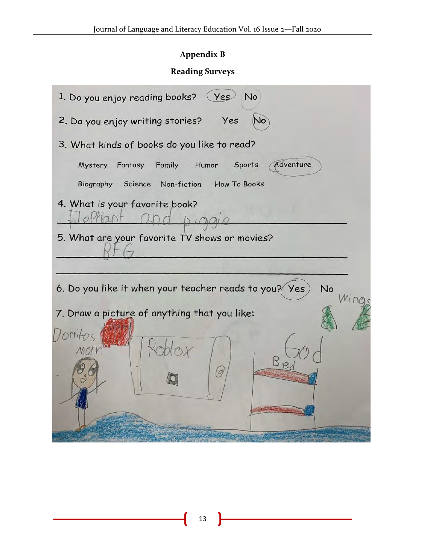# **Appendix B**

# **Reading Surveys**

| 1. Do you enjoy reading books? (Yes)<br><b>No</b>           |  |  |  |  |  |
|-------------------------------------------------------------|--|--|--|--|--|
| 2. Do you enjoy writing stories? Yes<br>No                  |  |  |  |  |  |
| 3. What kinds of books do you like to read?                 |  |  |  |  |  |
| Adventure<br>Mystery Fantasy Family<br>Humor Sports         |  |  |  |  |  |
| Science Non-fiction How To Books<br>Biography               |  |  |  |  |  |
| 4. What is your favorite book?                              |  |  |  |  |  |
| 5. What are your favorite TV shows or movies?               |  |  |  |  |  |
| 6. Do you like it when your teacher reads to you? Yes<br>No |  |  |  |  |  |
| 7. Draw a picture of anything that you like:                |  |  |  |  |  |
| $B_{\mathcal{D}}$<br>G                                      |  |  |  |  |  |
|                                                             |  |  |  |  |  |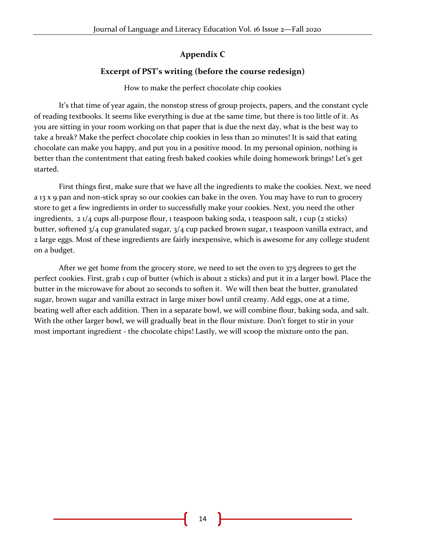# **Appendix C**

# **Excerpt of PST's writing (before the course redesign)**

#### How to make the perfect chocolate chip cookies

It's that time of year again, the nonstop stress of group projects, papers, and the constant cycle of reading textbooks. It seems like everything is due at the same time, but there is too little of it. As you are sitting in your room working on that paper that is due the next day, what is the best way to take a break? Make the perfect chocolate chip cookies in less than 20 minutes! It is said that eating chocolate can make you happy, and put you in a positive mood. In my personal opinion, nothing is better than the contentment that eating fresh baked cookies while doing homework brings! Let's get started.

First things first, make sure that we have all the ingredients to make the cookies. Next, we need a 13 x 9 pan and non-stick spray so our cookies can bake in the oven. You may have to run to grocery store to get a few ingredients in order to successfully make your cookies. Next, you need the other ingredients, 2 1/4 cups all-purpose flour, 1 teaspoon baking soda, 1 teaspoon salt, 1 cup (2 sticks) butter, softened 3/4 cup granulated sugar, 3/4 cup packed brown sugar, 1 teaspoon vanilla extract, and 2 large eggs. Most of these ingredients are fairly inexpensive, which is awesome for any college student on a budget.

After we get home from the grocery store, we need to set the oven to 375 degrees to get the perfect cookies. First, grab 1 cup of butter (which is about 2 sticks) and put it in a larger bowl. Place the butter in the microwave for about 20 seconds to soften it. We will then beat the butter, granulated sugar, brown sugar and vanilla extract in large mixer bowl until creamy. Add eggs, one at a time, beating well after each addition. Then in a separate bowl, we will combine flour, baking soda, and salt. With the other larger bowl, we will gradually beat in the flour mixture. Don't forget to stir in your most important ingredient - the chocolate chips! Lastly, we will scoop the mixture onto the pan.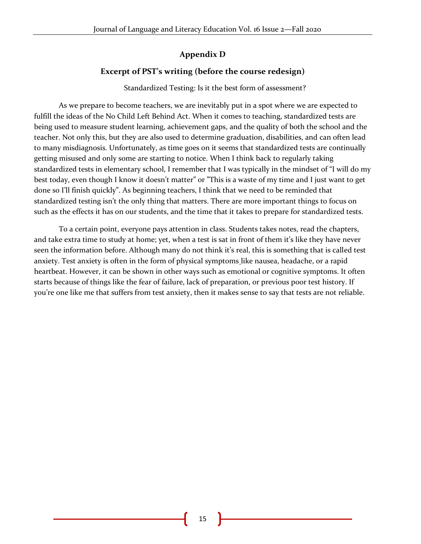# **Appendix D**

# **Excerpt of PST's writing (before the course redesign)**

Standardized Testing: Is it the best form of assessment?

As we prepare to become teachers, we are inevitably put in a spot where we are expected to fulfill the ideas of the No Child Left Behind Act. When it comes to teaching, standardized tests are being used to measure student learning, achievement gaps, and the quality of both the school and the teacher. Not only this, but they are also used to determine graduation, disabilities, and can often lead to many misdiagnosis. Unfortunately, as time goes on it seems that standardized tests are continually getting misused and only some are starting to notice. When I think back to regularly taking standardized tests in elementary school, I remember that I was typically in the mindset of "I will do my best today, even though I know it doesn't matter" or "This is a waste of my time and I just want to get done so I'll finish quickly". As beginning teachers, I think that we need to be reminded that standardized testing isn't the only thing that matters. There are more important things to focus on such as the effects it has on our students, and the time that it takes to prepare for standardized tests.

 To a certain point, everyone pays attention in class. Students takes notes, read the chapters, and take extra time to study at home; yet, when a test is sat in front of them it's like they have never seen the information before. Although many do not think it's real, this is something that is called test anxiety. Test anxiety is often in the form of physical symptoms like nausea, headache, or a rapid heartbeat. However, it can be shown in other ways such as emotional or cognitive symptoms. It often starts because of things like the fear of failure, lack of preparation, or previous poor test history. If you're one like me that suffers from test anxiety, then it makes sense to say that tests are not reliable.